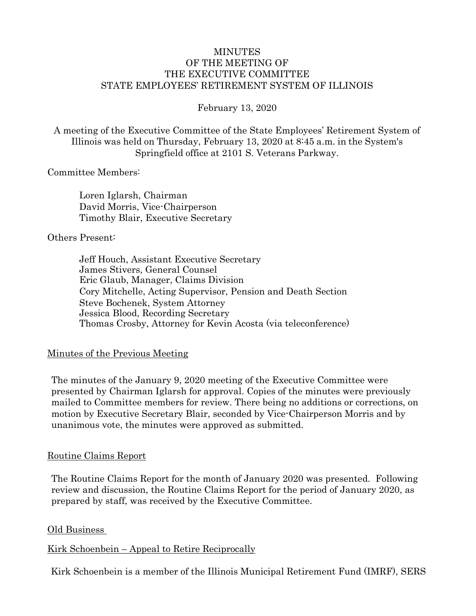### MINUTES OF THE MEETING OF THE EXECUTIVE COMMITTEE STATE EMPLOYEES' RETIREMENT SYSTEM OF ILLINOIS

February 13, 2020

A meeting of the Executive Committee of the State Employees' Retirement System of Illinois was held on Thursday, February 13, 2020 at 8:45 a.m. in the System's Springfield office at 2101 S. Veterans Parkway.

### Committee Members:

Loren Iglarsh, Chairman David Morris, Vice-Chairperson Timothy Blair, Executive Secretary

### Others Present:

Jeff Houch, Assistant Executive Secretary James Stivers, General Counsel Eric Glaub, Manager, Claims Division Cory Mitchelle, Acting Supervisor, Pension and Death Section Steve Bochenek, System Attorney Jessica Blood, Recording Secretary Thomas Crosby, Attorney for Kevin Acosta (via teleconference)

### Minutes of the Previous Meeting

The minutes of the January 9, 2020 meeting of the Executive Committee were presented by Chairman Iglarsh for approval. Copies of the minutes were previously mailed to Committee members for review. There being no additions or corrections, on motion by Executive Secretary Blair, seconded by Vice-Chairperson Morris and by unanimous vote, the minutes were approved as submitted.

### Routine Claims Report

The Routine Claims Report for the month of January 2020 was presented. Following review and discussion, the Routine Claims Report for the period of January 2020, as prepared by staff, was received by the Executive Committee.

### Old Business

### Kirk Schoenbein – Appeal to Retire Reciprocally

Kirk Schoenbein is a member of the Illinois Municipal Retirement Fund (IMRF), SERS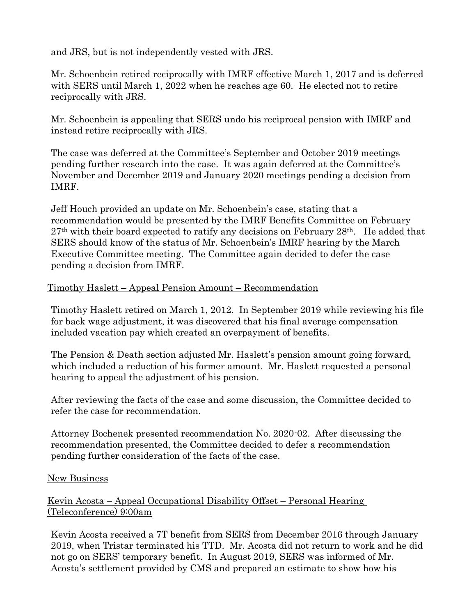and JRS, but is not independently vested with JRS.

Mr. Schoenbein retired reciprocally with IMRF effective March 1, 2017 and is deferred with SERS until March 1, 2022 when he reaches age 60. He elected not to retire reciprocally with JRS.

Mr. Schoenbein is appealing that SERS undo his reciprocal pension with IMRF and instead retire reciprocally with JRS.

The case was deferred at the Committee's September and October 2019 meetings pending further research into the case. It was again deferred at the Committee's November and December 2019 and January 2020 meetings pending a decision from IMRF.

Jeff Houch provided an update on Mr. Schoenbein's case, stating that a recommendation would be presented by the IMRF Benefits Committee on February  $27<sup>th</sup>$  with their board expected to ratify any decisions on February  $28<sup>th</sup>$ . He added that SERS should know of the status of Mr. Schoenbein's IMRF hearing by the March Executive Committee meeting. The Committee again decided to defer the case pending a decision from IMRF.

# Timothy Haslett – Appeal Pension Amount – Recommendation

Timothy Haslett retired on March 1, 2012. In September 2019 while reviewing his file for back wage adjustment, it was discovered that his final average compensation included vacation pay which created an overpayment of benefits.

The Pension & Death section adjusted Mr. Haslett's pension amount going forward, which included a reduction of his former amount. Mr. Haslett requested a personal hearing to appeal the adjustment of his pension.

After reviewing the facts of the case and some discussion, the Committee decided to refer the case for recommendation.

Attorney Bochenek presented recommendation No. 2020-02. After discussing the recommendation presented, the Committee decided to defer a recommendation pending further consideration of the facts of the case.

# New Business

# Kevin Acosta – Appeal Occupational Disability Offset – Personal Hearing (Teleconference) 9:00am

Kevin Acosta received a 7T benefit from SERS from December 2016 through January 2019, when Tristar terminated his TTD. Mr. Acosta did not return to work and he did not go on SERS' temporary benefit. In August 2019, SERS was informed of Mr. Acosta's settlement provided by CMS and prepared an estimate to show how his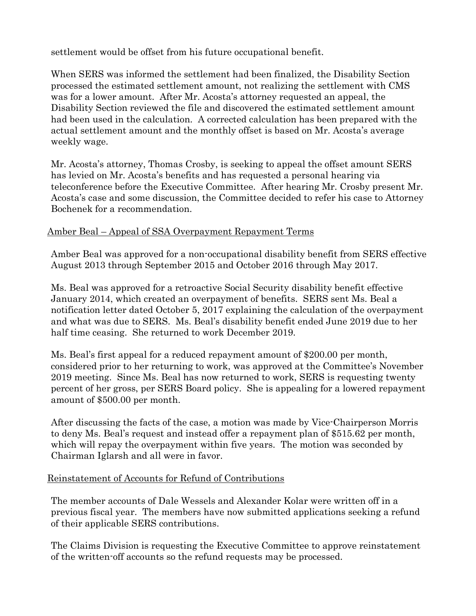settlement would be offset from his future occupational benefit.

When SERS was informed the settlement had been finalized, the Disability Section processed the estimated settlement amount, not realizing the settlement with CMS was for a lower amount. After Mr. Acosta's attorney requested an appeal, the Disability Section reviewed the file and discovered the estimated settlement amount had been used in the calculation. A corrected calculation has been prepared with the actual settlement amount and the monthly offset is based on Mr. Acosta's average weekly wage.

Mr. Acosta's attorney, Thomas Crosby, is seeking to appeal the offset amount SERS has levied on Mr. Acosta's benefits and has requested a personal hearing via teleconference before the Executive Committee. After hearing Mr. Crosby present Mr. Acosta's case and some discussion, the Committee decided to refer his case to Attorney Bochenek for a recommendation.

# Amber Beal – Appeal of SSA Overpayment Repayment Terms

Amber Beal was approved for a non-occupational disability benefit from SERS effective August 2013 through September 2015 and October 2016 through May 2017.

Ms. Beal was approved for a retroactive Social Security disability benefit effective January 2014, which created an overpayment of benefits. SERS sent Ms. Beal a notification letter dated October 5, 2017 explaining the calculation of the overpayment and what was due to SERS. Ms. Beal's disability benefit ended June 2019 due to her half time ceasing. She returned to work December 2019.

Ms. Beal's first appeal for a reduced repayment amount of \$200.00 per month, considered prior to her returning to work, was approved at the Committee's November 2019 meeting. Since Ms. Beal has now returned to work, SERS is requesting twenty percent of her gross, per SERS Board policy. She is appealing for a lowered repayment amount of \$500.00 per month.

After discussing the facts of the case, a motion was made by Vice-Chairperson Morris to deny Ms. Beal's request and instead offer a repayment plan of \$515.62 per month, which will repay the overpayment within five years. The motion was seconded by Chairman Iglarsh and all were in favor.

# Reinstatement of Accounts for Refund of Contributions

The member accounts of Dale Wessels and Alexander Kolar were written off in a previous fiscal year. The members have now submitted applications seeking a refund of their applicable SERS contributions.

The Claims Division is requesting the Executive Committee to approve reinstatement of the written-off accounts so the refund requests may be processed.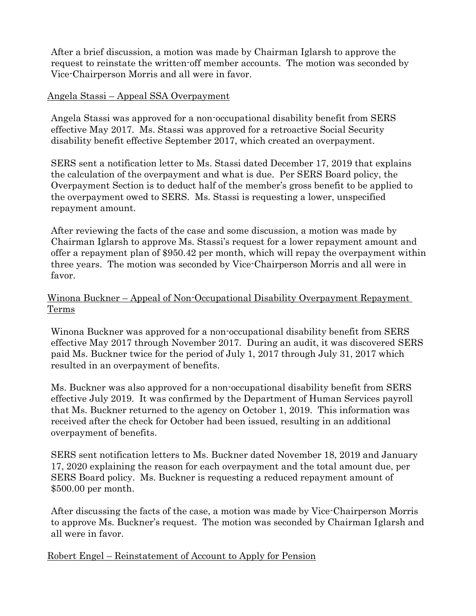After a brief discussion, a motion was made by Chairman Iglarsh to approve the request to reinstate the written-off member accounts. The motion was seconded by Vice-Chairperson Morris and all were in favor.

## Angela Stassi – Appeal SSA Overpayment

Angela Stassi was approved for a non-occupational disability benefit from SERS effective May 2017. Ms. Stassi was approved for a retroactive Social Security disability benefit effective September 2017, which created an overpayment.

SERS sent a notification letter to Ms. Stassi dated December 17, 2019 that explains the calculation of the overpayment and what is due. Per SERS Board policy, the Overpayment Section is to deduct half of the member's gross benefit to be applied to the overpayment owed to SERS. Ms. Stassi is requesting a lower, unspecified repayment amount.

After reviewing the facts of the case and some discussion, a motion was made by Chairman Iglarsh to approve Ms. Stassi's request for a lower repayment amount and offer a repayment plan of \$950.42 per month, which will repay the overpayment within three years. The motion was seconded by Vice-Chairperson Morris and all were in favor.

# Winona Buckner – Appeal of Non-Occupational Disability Overpayment Repayment Terms

Winona Buckner was approved for a non-occupational disability benefit from SERS effective May 2017 through November 2017. During an audit, it was discovered SERS paid Ms. Buckner twice for the period of July 1, 2017 through July 31, 2017 which resulted in an overpayment of benefits.

Ms. Buckner was also approved for a non-occupational disability benefit from SERS effective July 2019. It was confirmed by the Department of Human Services payroll that Ms. Buckner returned to the agency on October 1, 2019. This information was received after the check for October had been issued, resulting in an additional overpayment of benefits.

SERS sent notification letters to Ms. Buckner dated November 18, 2019 and January 17, 2020 explaining the reason for each overpayment and the total amount due, per SERS Board policy. Ms. Buckner is requesting a reduced repayment amount of \$500.00 per month.

After discussing the facts of the case, a motion was made by Vice-Chairperson Morris to approve Ms. Buckner's request. The motion was seconded by Chairman Iglarsh and all were in favor.

Robert Engel – Reinstatement of Account to Apply for Pension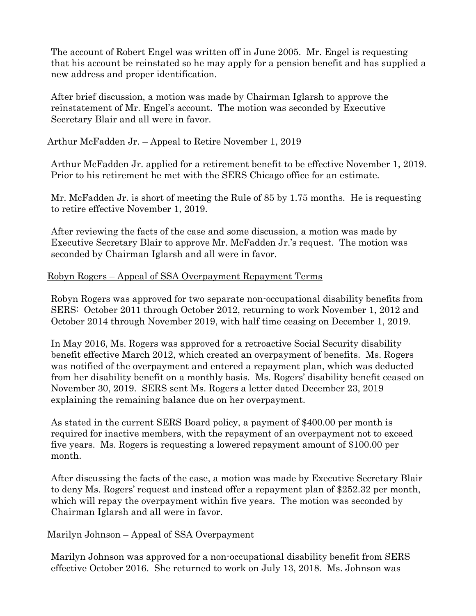The account of Robert Engel was written off in June 2005. Mr. Engel is requesting that his account be reinstated so he may apply for a pension benefit and has supplied a new address and proper identification.

After brief discussion, a motion was made by Chairman Iglarsh to approve the reinstatement of Mr. Engel's account. The motion was seconded by Executive Secretary Blair and all were in favor.

## Arthur McFadden Jr. – Appeal to Retire November 1, 2019

Arthur McFadden Jr. applied for a retirement benefit to be effective November 1, 2019. Prior to his retirement he met with the SERS Chicago office for an estimate.

Mr. McFadden Jr. is short of meeting the Rule of 85 by 1.75 months. He is requesting to retire effective November 1, 2019.

After reviewing the facts of the case and some discussion, a motion was made by Executive Secretary Blair to approve Mr. McFadden Jr.'s request. The motion was seconded by Chairman Iglarsh and all were in favor.

## Robyn Rogers – Appeal of SSA Overpayment Repayment Terms

Robyn Rogers was approved for two separate non-occupational disability benefits from SERS: October 2011 through October 2012, returning to work November 1, 2012 and October 2014 through November 2019, with half time ceasing on December 1, 2019.

In May 2016, Ms. Rogers was approved for a retroactive Social Security disability benefit effective March 2012, which created an overpayment of benefits. Ms. Rogers was notified of the overpayment and entered a repayment plan, which was deducted from her disability benefit on a monthly basis. Ms. Rogers' disability benefit ceased on November 30, 2019. SERS sent Ms. Rogers a letter dated December 23, 2019 explaining the remaining balance due on her overpayment.

As stated in the current SERS Board policy, a payment of \$400.00 per month is required for inactive members, with the repayment of an overpayment not to exceed five years. Ms. Rogers is requesting a lowered repayment amount of \$100.00 per month.

After discussing the facts of the case, a motion was made by Executive Secretary Blair to deny Ms. Rogers' request and instead offer a repayment plan of \$252.32 per month, which will repay the overpayment within five years. The motion was seconded by Chairman Iglarsh and all were in favor.

### Marilyn Johnson – Appeal of SSA Overpayment

Marilyn Johnson was approved for a non-occupational disability benefit from SERS effective October 2016. She returned to work on July 13, 2018. Ms. Johnson was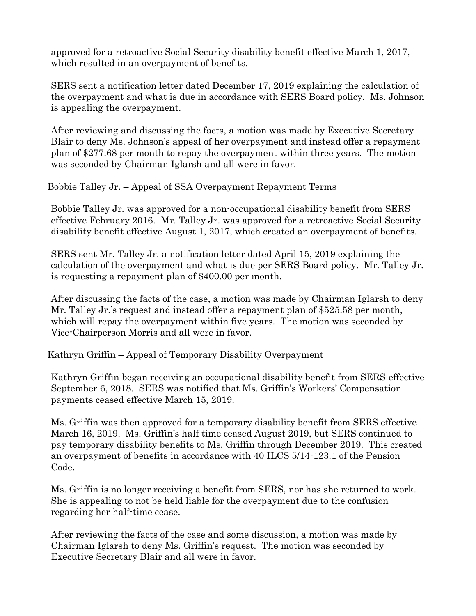approved for a retroactive Social Security disability benefit effective March 1, 2017, which resulted in an overpayment of benefits.

SERS sent a notification letter dated December 17, 2019 explaining the calculation of the overpayment and what is due in accordance with SERS Board policy. Ms. Johnson is appealing the overpayment.

After reviewing and discussing the facts, a motion was made by Executive Secretary Blair to deny Ms. Johnson's appeal of her overpayment and instead offer a repayment plan of \$277.68 per month to repay the overpayment within three years. The motion was seconded by Chairman Iglarsh and all were in favor.

## Bobbie Talley Jr. – Appeal of SSA Overpayment Repayment Terms

Bobbie Talley Jr. was approved for a non-occupational disability benefit from SERS effective February 2016. Mr. Talley Jr. was approved for a retroactive Social Security disability benefit effective August 1, 2017, which created an overpayment of benefits.

SERS sent Mr. Talley Jr. a notification letter dated April 15, 2019 explaining the calculation of the overpayment and what is due per SERS Board policy. Mr. Talley Jr. is requesting a repayment plan of \$400.00 per month.

After discussing the facts of the case, a motion was made by Chairman Iglarsh to deny Mr. Talley Jr.'s request and instead offer a repayment plan of \$525.58 per month, which will repay the overpayment within five years. The motion was seconded by Vice-Chairperson Morris and all were in favor.

# Kathryn Griffin – Appeal of Temporary Disability Overpayment

Kathryn Griffin began receiving an occupational disability benefit from SERS effective September 6, 2018. SERS was notified that Ms. Griffin's Workers' Compensation payments ceased effective March 15, 2019.

Ms. Griffin was then approved for a temporary disability benefit from SERS effective March 16, 2019. Ms. Griffin's half time ceased August 2019, but SERS continued to pay temporary disability benefits to Ms. Griffin through December 2019. This created an overpayment of benefits in accordance with 40 ILCS 5/14-123.1 of the Pension Code.

Ms. Griffin is no longer receiving a benefit from SERS, nor has she returned to work. She is appealing to not be held liable for the overpayment due to the confusion regarding her half-time cease.

After reviewing the facts of the case and some discussion, a motion was made by Chairman Iglarsh to deny Ms. Griffin's request. The motion was seconded by Executive Secretary Blair and all were in favor.